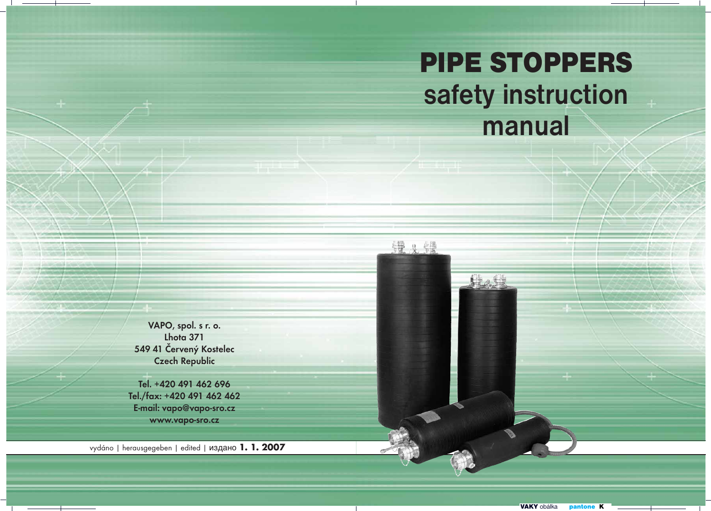# PIPE STOPPERS **safety instruction manual**

Hatt

鐵火鐵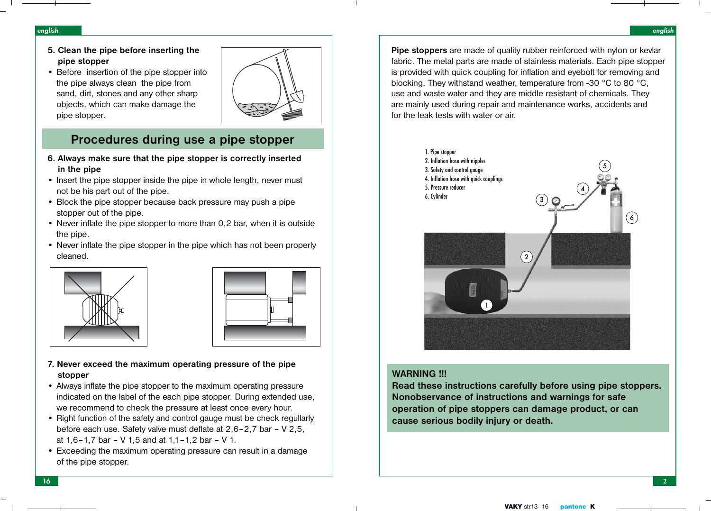**Pipe stoppers** are made of quality rubber reinforced with nylon or kevlar fabric. The metal parts are made of stainless materials. Each pipe stopper is provided with quick coupling for inflation and eyebolt for removing and blocking. They withstand weather, temperature from -30 °C to 80 °C, use and waste water and they are middle resistant of chemicals. They are mainly used during repair and maintenance works, accidents and for the leak tests with water or air.



## **WARNING !!!**

**Read these instructions carefully before using pipe stoppers. Nonobservance of instructions and warnings for safe operation of pipe stoppers can damage product, or can cause serious bodily injury or death.**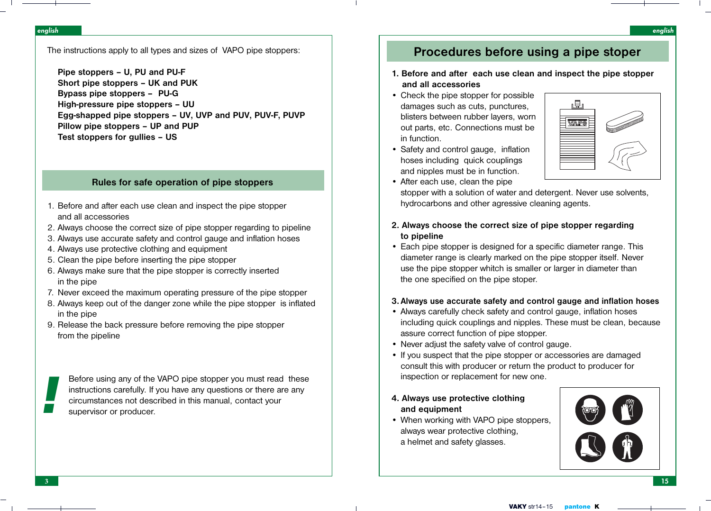The instructions apply to all types and sizes of VAPO pipe stoppers:

**Pipe stoppers – U, PU and PU-F Short pipe stoppers – UK and PUK Bypass pipe stoppers – PU-G High-pressure pipe stoppers – UU Egg-shapped pipe stoppers – UV, UVP and PUV, PUV-F, PUVP Pillow pipe stoppers – UP and PUP Test stoppers for gullies – US**

## **Rules for safe operation of pipe stoppers**

- 1. Before and after each use clean and inspect the pipe stopper and all accessories
- 2. Always choose the correct size of pipe stopper regarding to pipeline
- 3. Always use accurate safety and control gauge and inflation hoses
- 4. Always use protective clothing and equipment
- 5. Clean the pipe before inserting the pipe stopper
- 6. Always make sure that the pipe stopper is correctly inserted in the pipe
- 7. Never exceed the maximum operating pressure of the pipe stopper
- 8. Always keep out of the danger zone while the pipe stopper is inflated in the pipe
- 9. Release the back pressure before removing the pipe stopper from the pipeline

Before using any of the VAPO pipe stopper you must read these instructions carefully. If you have any questions or there are any Before using any of the VAPO pipe stopper you must read instructions carefully. If you have any questions or there are circumstances not described in this manual, contact your supervisor or producer.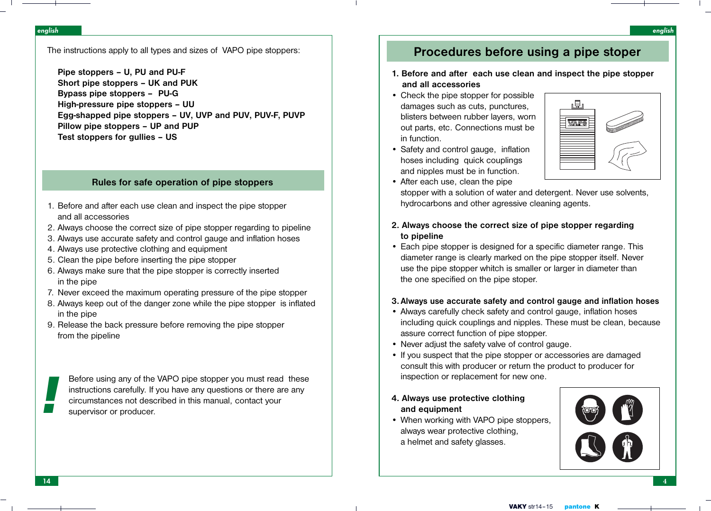# **Procedures before using a pipe stoper**

# **1. Before and after each use clean and inspect the pipe stopper and all accessories**

- Check the pipe stopper for possible damages such as cuts, punctures, blisters between rubber layers, worn out parts, etc. Connections must be in function.
- Safety and control gauge, inflation hoses including quick couplings and nipples must be in function.



- After each use, clean the pipe stopper with a solution of water and detergent. Never use solvents, hydrocarbons and other agressive cleaning agents.
- **2. Always choose the correct size of pipe stopper regarding to pipeline**
- Each pipe stopper is designed for a specific diameter range. This diameter range is clearly marked on the pipe stopper itself. Never use the pipe stopper whitch is smaller or larger in diameter than the one specified on the pipe stoper.

# **3. Always use accurate safety and control gauge and inflation hoses**

- Always carefully check safety and control gauge, inflation hoses including quick couplings and nipples. These must be clean, because assure correct function of pipe stopper.
- Never adjust the safety valve of control gauge.
- If you suspect that the pipe stopper or accessories are damaged consult this with producer or return the product to producer for inspection or replacement for new one.
- **4. Always use protective clothing and equipment**
- When working with VAPO pipe stoppers, always wear protective clothing, a helmet and safety glasses.

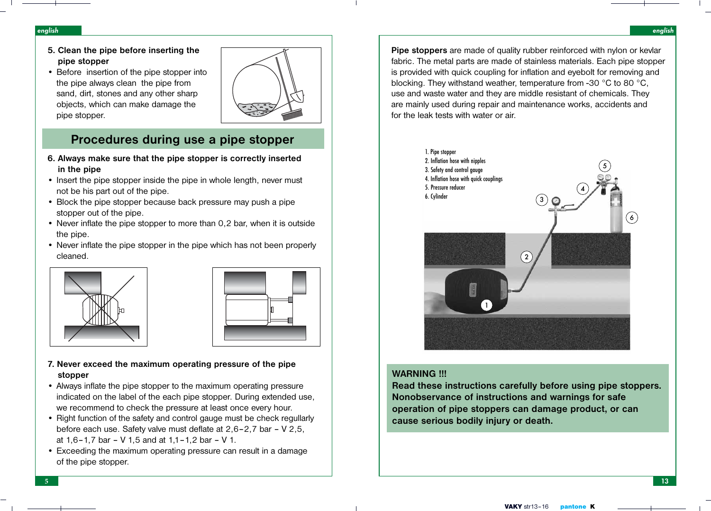#### english

- **5. Clean the pipe before inserting the pipe stopper**
- Before insertion of the pipe stopper into the pipe always clean the pipe from sand, dirt, stones and any other sharp objects, which can make damage the pipe stopper.



# **Procedures during use a pipe stopper**

- **6. Always make sure that the pipe stopper is correctly inserted in the pipe**
- Insert the pipe stopper inside the pipe in whole length, never must not be his part out of the pipe.
- Block the pipe stopper because back pressure may push a pipe stopper out of the pipe.
- Never inflate the pipe stopper to more than 0.2 bar, when it is outside the pipe.
- Never inflate the pipe stopper in the pipe which has not been properly cleaned.





# **7. Never exceed the maximum operating pressure of the pipe stopper**

- Always inflate the pipe stopper to the maximum operating pressure indicated on the label of the each pipe stopper. During extended use, we recommend to check the pressure at least once every hour.
- Right function of the safety and control gauge must be check regullarly before each use. Safety valve must deflate at 2,6–2,7 bar – V 2,5, at 1,6–1,7 bar – V 1,5 and at 1,1–1,2 bar – V 1.
- Exceeding the maximum operating pressure can result in a damage of the pipe stopper.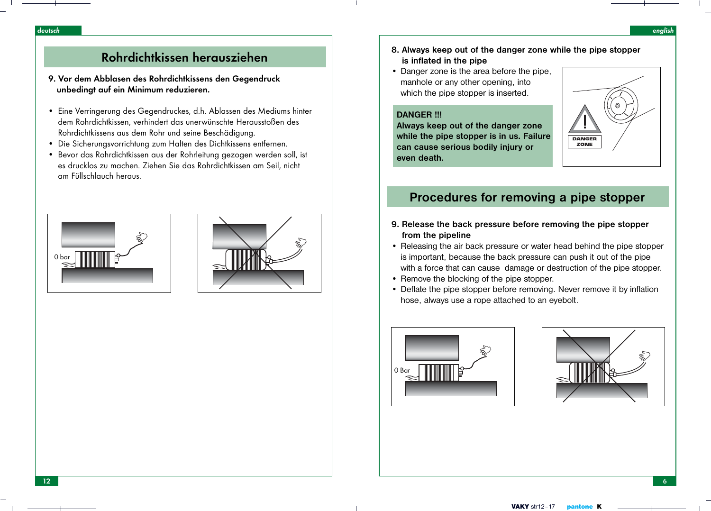- **8. Always keep out of the danger zone while the pipe stopper is inflated in the pipe**
- Danger zone is the area before the pipe, manhole or any other opening, into which the pipe stopper is inserted.

### **DANGER !!!**

**Always keep out of the danger zone while the pipe stopper is in us. Failure can cause serious bodily injury or even death.**



# **Procedures for removing a pipe stopper**

- **9. Release the back pressure before removing the pipe stopper from the pipeline**
- Releasing the air back pressure or water head behind the pipe stopper is important, because the back pressure can push it out of the pipe with a force that can cause damage or destruction of the pipe stopper.
- Remove the blocking of the pipe stopper.
- Deflate the pipe stopper before removing. Never remove it by inflation hose, always use a rope attached to an eyebolt.